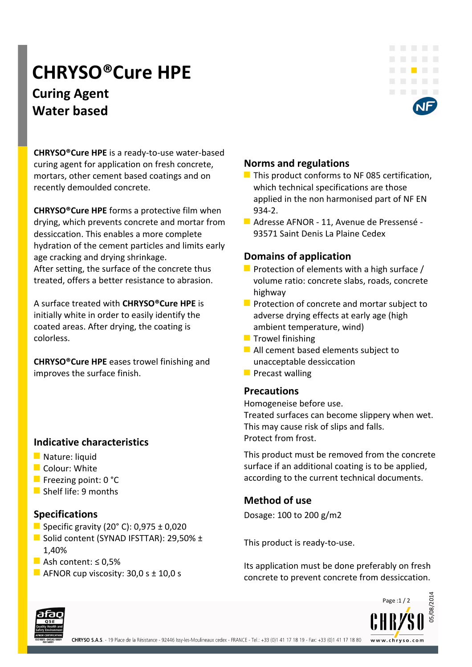# **CHRYSO®Cure HPE Curing Agent Water based**



**CHRYSO®Cure HPE** is a ready-to-use water-based curing agent for application on fresh concrete, mortars, other cement based coatings and on recently demoulded concrete.

**CHRYSO®Cure HPE** forms a protective film when drying, which prevents concrete and mortar from dessiccation. This enables a more complete hydration of the cement particles and limits early age cracking and drying shrinkage.

After setting, the surface of the concrete thus treated, offers a better resistance to abrasion.

A surface treated with **CHRYSO®Cure HPE** is initially white in order to easily identify the coated areas. After drying, the coating is colorless.

**CHRYSO®Cure HPE** eases trowel finishing and improves the surface finish.

## **Indicative characteristics**

- Nature: liquid
- **Colour: White**
- **Freezing point: 0 °C**
- Shelf life: 9 months

## **Specifications**

- Specific gravity (20 $^{\circ}$  C): 0,975  $\pm$  0,020
- Solid content (SYNAD IFSTTAR): 29,50% ± 1,40%
- Ash content:  $\leq 0.5\%$
- AFNOR cup viscosity:  $30,0 s \pm 10,0 s$

# **Norms and regulations**

- $\blacksquare$  This product conforms to NF 085 certification, which technical specifications are those applied in the non harmonised part of NF EN 934-2.
- Adresse AFNOR 11, Avenue de Pressensé 93571 Saint Denis La Plaine Cedex

# **Domains of application**

- Protection of elements with a high surface  $/$ volume ratio: concrete slabs, roads, concrete highway
- $\blacksquare$  Protection of concrete and mortar subject to adverse drying effects at early age (high ambient temperature, wind)
- $\blacksquare$  Trowel finishing
- All cement based elements subject to unacceptable dessiccation
- $\blacksquare$  Precast walling

#### **Precautions**

Homogeneise before use. Treated surfaces can become slippery when wet. This may cause risk of slips and falls. Protect from frost.

This product must be removed from the concrete surface if an additional coating is to be applied, according to the current technical documents.

## **Method of use**

Dosage: 100 to 200 g/m2

This product is ready-to-use.

Its application must be done preferably on fresh concrete to prevent concrete from dessiccation.